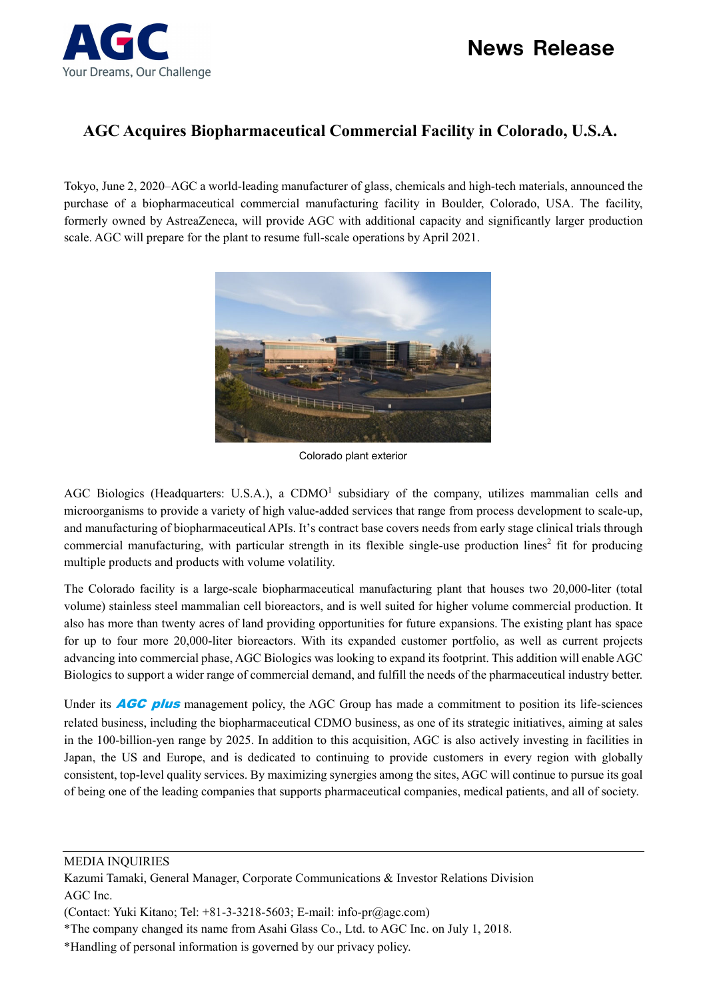

## **AGC Acquires Biopharmaceutical Commercial Facility in Colorado, U.S.A.**

Tokyo, June 2, 2020–AGC a world-leading manufacturer of glass, chemicals and high-tech materials, announced the purchase of a biopharmaceutical commercial manufacturing facility in Boulder, Colorado, USA. The facility, formerly owned by AstreaZeneca, will provide AGC with additional capacity and significantly larger production scale. AGC will prepare for the plant to resume full-scale operations by April 2021.



Colorado plant exterior

AGC Biologics (Headquarters: U.S.A.), a CDMO<sup>1</sup> subsidiary of the company, utilizes mammalian cells and microorganisms to provide a variety of high value-added services that range from process development to scale-up, and manufacturing of biopharmaceutical APIs. It's contract base covers needs from early stage clinical trials through commercial manufacturing, with particular strength in its flexible single-use production lines<sup>2</sup> fit for producing multiple products and products with volume volatility.

The Colorado facility is a large-scale biopharmaceutical manufacturing plant that houses two 20,000-liter (total volume) stainless steel mammalian cell bioreactors, and is well suited for higher volume commercial production. It also has more than twenty acres of land providing opportunities for future expansions. The existing plant has space for up to four more 20,000-liter bioreactors. With its expanded customer portfolio, as well as current projects advancing into commercial phase, AGC Biologics was looking to expand its footprint. This addition will enable AGC Biologics to support a wider range of commercial demand, and fulfill the needs of the pharmaceutical industry better.

Under its  $\triangle G$  plus management policy, the AGC Group has made a commitment to position its life-sciences related business, including the biopharmaceutical CDMO business, as one of its strategic initiatives, aiming at sales in the 100-billion-yen range by 2025. In addition to this acquisition, AGC is also actively investing in facilities in Japan, the US and Europe, and is dedicated to continuing to provide customers in every region with globally consistent, top-level quality services. By maximizing synergies among the sites, AGC will continue to pursue its goal of being one of the leading companies that supports pharmaceutical companies, medical patients, and all of society.

### MEDIA INQUIRIES

Kazumi Tamaki, General Manager, Corporate Communications & Investor Relations Division AGC Inc.

<sup>(</sup>Contact: Yuki Kitano; Tel: +81-3-3218-5603; E-mail: info-pr@agc.com)

<sup>\*</sup>The company changed its name from Asahi Glass Co., Ltd. to AGC Inc. on July 1, 2018.

<sup>\*</sup>Handling of personal information is governed by our privacy policy.